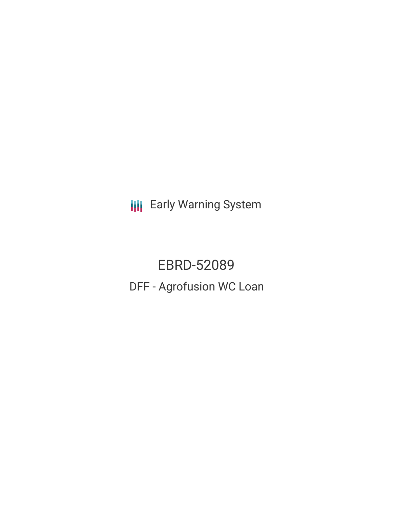**III** Early Warning System

EBRD-52089 DFF - Agrofusion WC Loan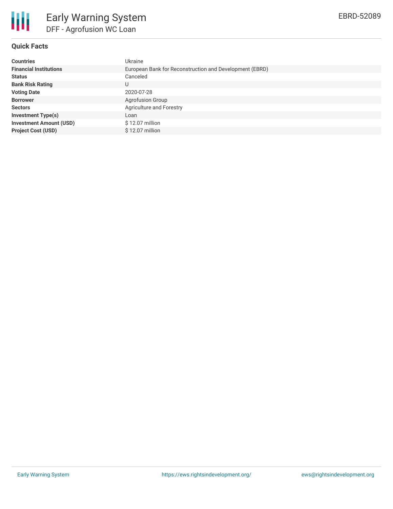

## **Quick Facts**

| <b>Countries</b>               | Ukraine                                                 |
|--------------------------------|---------------------------------------------------------|
| <b>Financial Institutions</b>  | European Bank for Reconstruction and Development (EBRD) |
| <b>Status</b>                  | Canceled                                                |
| <b>Bank Risk Rating</b>        |                                                         |
| <b>Voting Date</b>             | 2020-07-28                                              |
| <b>Borrower</b>                | <b>Agrofusion Group</b>                                 |
| <b>Sectors</b>                 | Agriculture and Forestry                                |
| <b>Investment Type(s)</b>      | Loan                                                    |
| <b>Investment Amount (USD)</b> | $$12.07$ million                                        |
| <b>Project Cost (USD)</b>      | $$12.07$ million                                        |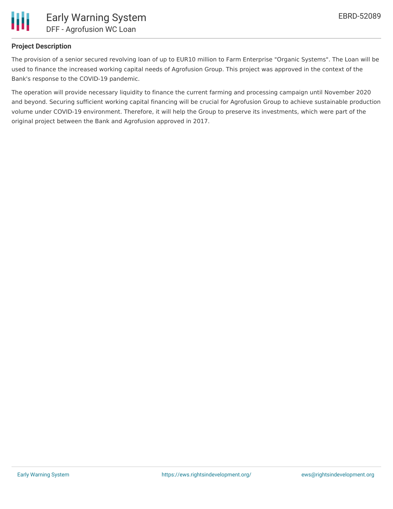

### **Project Description**

The provision of a senior secured revolving loan of up to EUR10 million to Farm Enterprise "Organic Systems". The Loan will be used to finance the increased working capital needs of Agrofusion Group. This project was approved in the context of the Bank's response to the COVID-19 pandemic.

The operation will provide necessary liquidity to finance the current farming and processing campaign until November 2020 and beyond. Securing sufficient working capital financing will be crucial for Agrofusion Group to achieve sustainable production volume under COVID-19 environment. Therefore, it will help the Group to preserve its investments, which were part of the original project between the Bank and Agrofusion approved in 2017.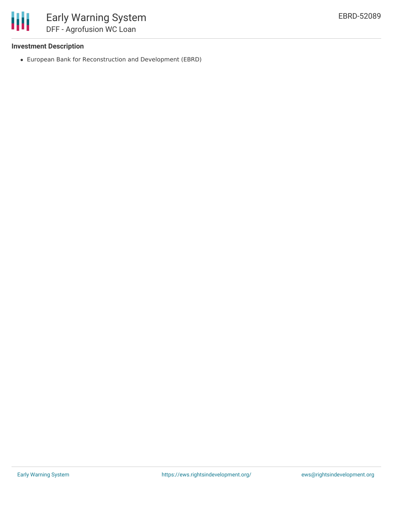

### **Investment Description**

European Bank for Reconstruction and Development (EBRD)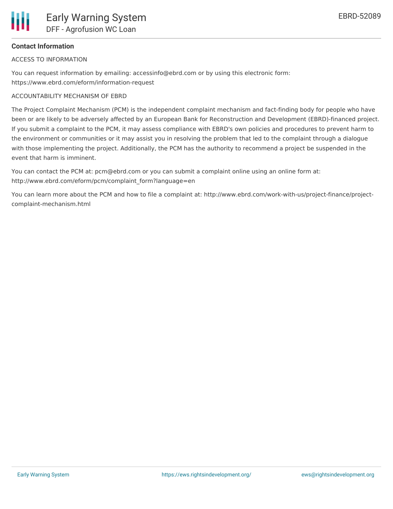# **Contact Information**

ACCESS TO INFORMATION

You can request information by emailing: accessinfo@ebrd.com or by using this electronic form: https://www.ebrd.com/eform/information-request

# ACCOUNTABILITY MECHANISM OF EBRD

The Project Complaint Mechanism (PCM) is the independent complaint mechanism and fact-finding body for people who have been or are likely to be adversely affected by an European Bank for Reconstruction and Development (EBRD)-financed project. If you submit a complaint to the PCM, it may assess compliance with EBRD's own policies and procedures to prevent harm to the environment or communities or it may assist you in resolving the problem that led to the complaint through a dialogue with those implementing the project. Additionally, the PCM has the authority to recommend a project be suspended in the event that harm is imminent.

You can contact the PCM at: pcm@ebrd.com or you can submit a complaint online using an online form at: http://www.ebrd.com/eform/pcm/complaint\_form?language=en

You can learn more about the PCM and how to file a complaint at: http://www.ebrd.com/work-with-us/project-finance/projectcomplaint-mechanism.html